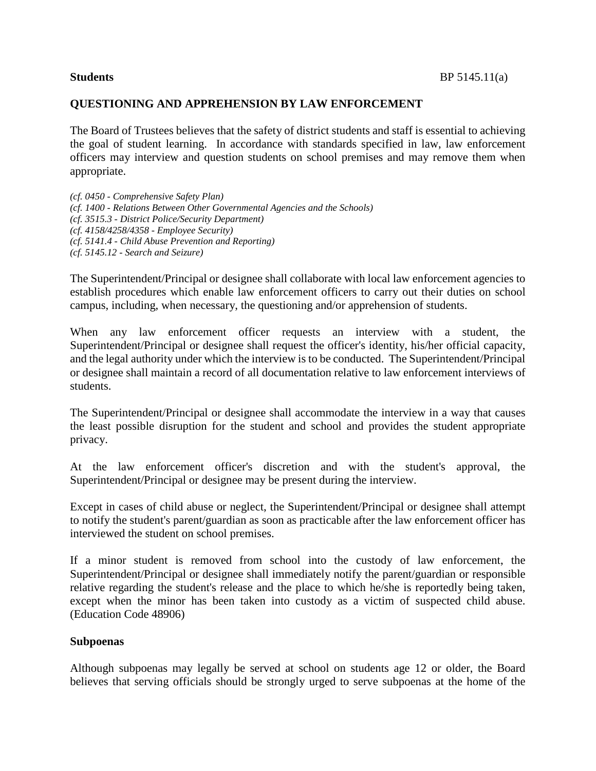## **QUESTIONING AND APPREHENSION BY LAW ENFORCEMENT**

The Board of Trustees believes that the safety of district students and staff is essential to achieving the goal of student learning. In accordance with standards specified in law, law enforcement officers may interview and question students on school premises and may remove them when appropriate.

*(cf. 0450 - Comprehensive Safety Plan) (cf. 1400 - Relations Between Other Governmental Agencies and the Schools) (cf. 3515.3 - District Police/Security Department) (cf. 4158/4258/4358 - Employee Security) (cf. 5141.4 - Child Abuse Prevention and Reporting) (cf. 5145.12 - Search and Seizure)*

The Superintendent/Principal or designee shall collaborate with local law enforcement agencies to establish procedures which enable law enforcement officers to carry out their duties on school campus, including, when necessary, the questioning and/or apprehension of students.

When any law enforcement officer requests an interview with a student, the Superintendent/Principal or designee shall request the officer's identity, his/her official capacity, and the legal authority under which the interview is to be conducted. The Superintendent/Principal or designee shall maintain a record of all documentation relative to law enforcement interviews of students.

The Superintendent/Principal or designee shall accommodate the interview in a way that causes the least possible disruption for the student and school and provides the student appropriate privacy.

At the law enforcement officer's discretion and with the student's approval, the Superintendent/Principal or designee may be present during the interview.

Except in cases of child abuse or neglect, the Superintendent/Principal or designee shall attempt to notify the student's parent/guardian as soon as practicable after the law enforcement officer has interviewed the student on school premises.

If a minor student is removed from school into the custody of law enforcement, the Superintendent/Principal or designee shall immediately notify the parent/guardian or responsible relative regarding the student's release and the place to which he/she is reportedly being taken, except when the minor has been taken into custody as a victim of suspected child abuse. (Education Code 48906)

## **Subpoenas**

Although subpoenas may legally be served at school on students age 12 or older, the Board believes that serving officials should be strongly urged to serve subpoenas at the home of the